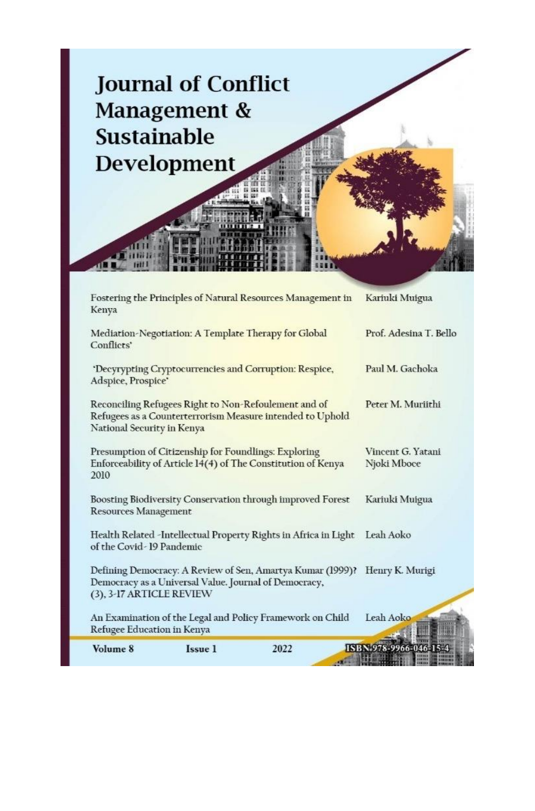

| Kenya                                                        |                | Fostering the Principles of Natural Resources Management in                                                         |                        | Kariuki Muigua         |
|--------------------------------------------------------------|----------------|---------------------------------------------------------------------------------------------------------------------|------------------------|------------------------|
| Conflicts'                                                   |                | Mediation-Negotiation: A Template Therapy for Global                                                                |                        | Prof. Adesina T. Bello |
| Adspice, Prospice'                                           |                | 'Decyrypting Cryptocurrencies and Corruption: Respice,                                                              |                        | Paul M. Gachoka        |
| National Security in Kenya                                   |                | Reconciling Refugees Right to Non-Refoulement and of<br>Refugees as a Counterterrorism Measure intended to Uphold   |                        | Peter M. Muriithi      |
| Presumption of Citizenship for Foundlings: Exploring<br>2010 |                | Enforceability of Article 14(4) of The Constitution of Kenya                                                        | Njoki Mboce            | Vincent G. Yatani      |
| <b>Resources Management</b>                                  |                | Boosting Biodiversity Conservation through improved Forest                                                          |                        | Kariuki Muigua         |
| of the Covid-19 Pandemic                                     |                | Health Related -Intellectual Property Rights in Africa in Light                                                     | Leah Aoko              |                        |
| (3), 3-17 ARTICLE REVIEW                                     |                | Defining Democracy: A Review of Sen, Amartya Kumar (1999)?<br>Democracy as a Universal Value. Journal of Democracy, |                        | Henry K. Murigi        |
| Refugee Education in Kenya                                   |                | An Examination of the Legal and Policy Framework on Child                                                           | Leah Aoko              |                        |
| Volume 8                                                     | <b>Issue 1</b> | 2022                                                                                                                | ISBN 978-9966-046-15-4 |                        |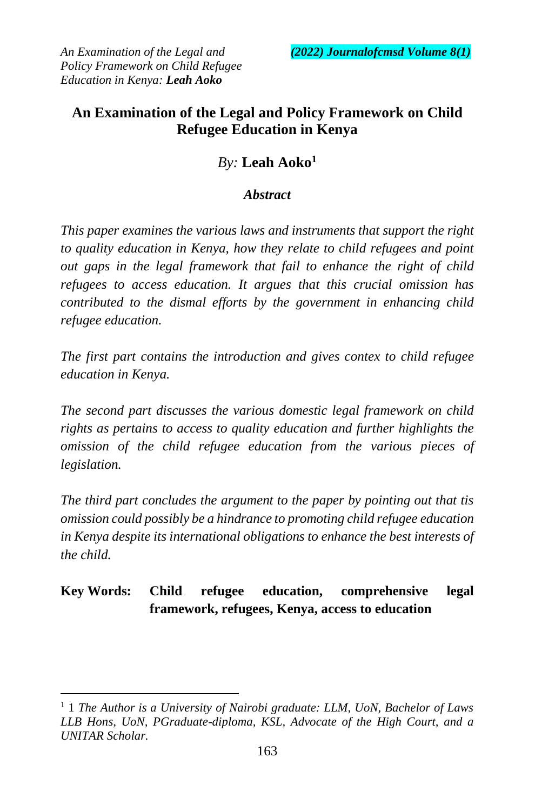# **An Examination of the Legal and Policy Framework on Child Refugee Education in Kenya**

## *By:* **Leah Aoko<sup>1</sup>**

### *Abstract*

*This paper examines the various laws and instruments that support the right to quality education in Kenya, how they relate to child refugees and point out gaps in the legal framework that fail to enhance the right of child refugees to access education. It argues that this crucial omission has contributed to the dismal efforts by the government in enhancing child refugee education.*

*The first part contains the introduction and gives contex to child refugee education in Kenya.*

*The second part discusses the various domestic legal framework on child rights as pertains to access to quality education and further highlights the omission of the child refugee education from the various pieces of legislation.* 

*The third part concludes the argument to the paper by pointing out that tis omission could possibly be a hindrance to promoting child refugee education in Kenya despite its international obligations to enhance the best interests of the child.* 

# **Key Words: Child refugee education, comprehensive legal framework, refugees, Kenya, access to education**

 $\overline{a}$ 

<sup>1</sup> 1 *The Author is a University of Nairobi graduate: LLM, UoN, Bachelor of Laws LLB Hons, UoN, PGraduate-diploma, KSL, Advocate of the High Court, and a UNITAR Scholar.*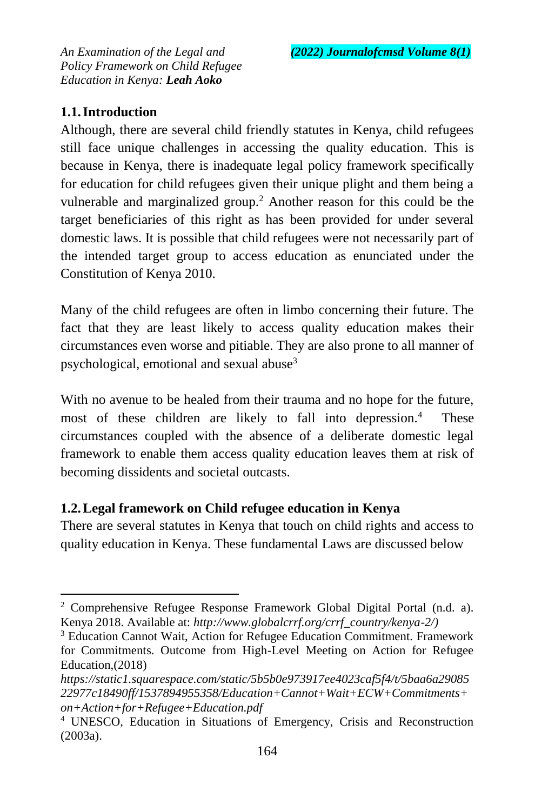### **1.1.Introduction**

 $\overline{a}$ 

Although, there are several child friendly statutes in Kenya, child refugees still face unique challenges in accessing the quality education. This is because in Kenya, there is inadequate legal policy framework specifically for education for child refugees given their unique plight and them being a vulnerable and marginalized group.<sup>2</sup> Another reason for this could be the target beneficiaries of this right as has been provided for under several domestic laws. It is possible that child refugees were not necessarily part of the intended target group to access education as enunciated under the Constitution of Kenya 2010.

Many of the child refugees are often in limbo concerning their future. The fact that they are least likely to access quality education makes their circumstances even worse and pitiable. They are also prone to all manner of psychological, emotional and sexual abuse<sup>3</sup>

With no avenue to be healed from their trauma and no hope for the future, most of these children are likely to fall into depression.<sup>4</sup> These circumstances coupled with the absence of a deliberate domestic legal framework to enable them access quality education leaves them at risk of becoming dissidents and societal outcasts.

### **1.2.Legal framework on Child refugee education in Kenya**

There are several statutes in Kenya that touch on child rights and access to quality education in Kenya. These fundamental Laws are discussed below

<sup>&</sup>lt;sup>2</sup> Comprehensive Refugee Response Framework Global Digital Portal  $(n.d. a)$ . Kenya 2018. Available at: *http://www.globalcrrf.org/crrf\_country/kenya-2/)* 

<sup>3</sup> Education Cannot Wait, Action for Refugee Education Commitment. Framework for Commitments. Outcome from High-Level Meeting on Action for Refugee Education,(2018)

*https://static1.squarespace.com/static/5b5b0e973917ee4023caf5f4/t/5baa6a29085 22977c18490ff/1537894955358/Education+Cannot+Wait+ECW+Commitments+ on+Action+for+Refugee+Education.pdf*

<sup>4</sup> UNESCO, Education in Situations of Emergency, Crisis and Reconstruction (2003a).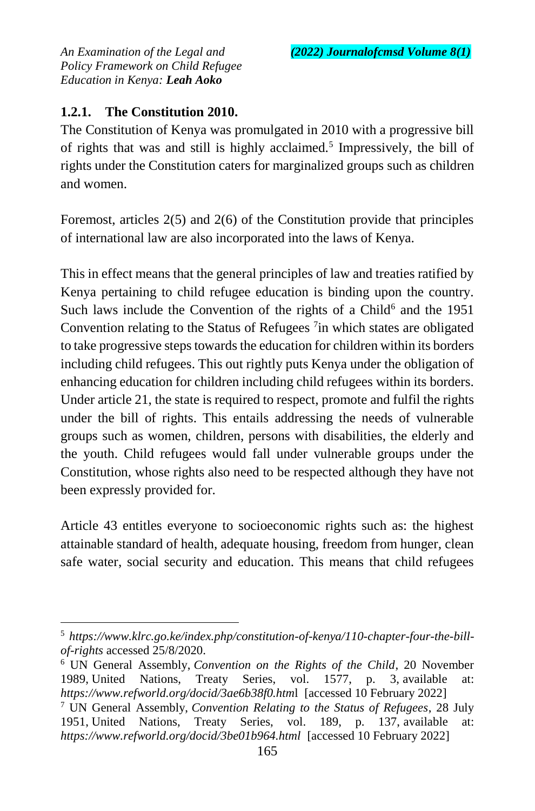# **1.2.1. The Constitution 2010.**

 $\overline{a}$ 

The Constitution of Kenya was promulgated in 2010 with a progressive bill of rights that was and still is highly acclaimed.<sup>5</sup> Impressively, the bill of rights under the Constitution caters for marginalized groups such as children and women.

Foremost, articles 2(5) and 2(6) of the Constitution provide that principles of international law are also incorporated into the laws of Kenya.

This in effect means that the general principles of law and treaties ratified by Kenya pertaining to child refugee education is binding upon the country. Such laws include the Convention of the rights of a Child<sup>6</sup> and the  $1951$ Convention relating to the Status of Refugees<sup>7</sup> in which states are obligated to take progressive steps towards the education for children within its borders including child refugees. This out rightly puts Kenya under the obligation of enhancing education for children including child refugees within its borders. Under article 21, the state is required to respect, promote and fulfil the rights under the bill of rights. This entails addressing the needs of vulnerable groups such as women, children, persons with disabilities, the elderly and the youth. Child refugees would fall under vulnerable groups under the Constitution, whose rights also need to be respected although they have not been expressly provided for.

Article 43 entitles everyone to socioeconomic rights such as: the highest attainable standard of health, adequate housing, freedom from hunger, clean safe water, social security and education. This means that child refugees

<sup>6</sup> UN General Assembly, *Convention on the Rights of the Child*, 20 November 1989, United Nations, Treaty Series, vol. 1577, p. 3, available at: *https://www.refworld.org/docid/3ae6b38f0.htm*l [accessed 10 February 2022] <sup>7</sup> UN General Assembly, *Convention Relating to the Status of Refugees*, 28 July 1951, United Nations, Treaty Series, vol. 189, p. 137, available at: *https://www.refworld.org/docid/3be01b964.html* [accessed 10 February 2022]

<sup>5</sup> *https://www.klrc.go.ke/index.php/constitution-of-kenya/110-chapter-four-the-billof-rights* accessed 25/8/2020.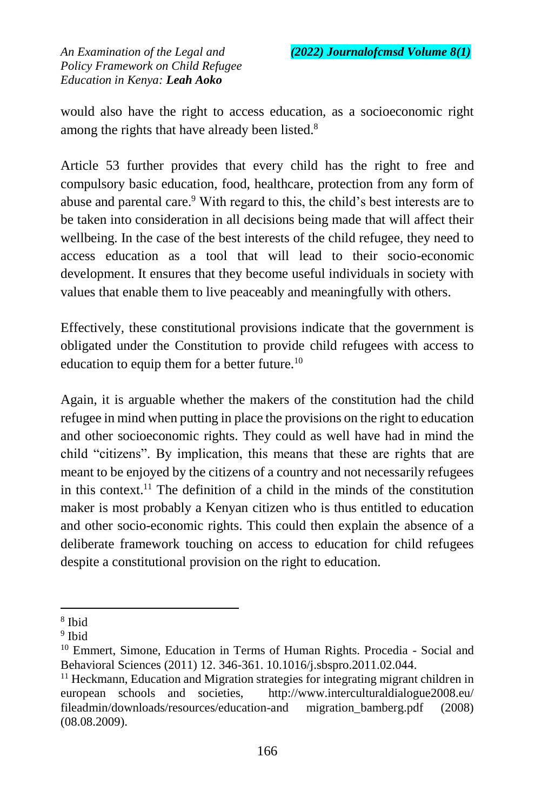would also have the right to access education, as a socioeconomic right among the rights that have already been listed.<sup>8</sup>

Article 53 further provides that every child has the right to free and compulsory basic education, food, healthcare, protection from any form of abuse and parental care.<sup>9</sup> With regard to this, the child's best interests are to be taken into consideration in all decisions being made that will affect their wellbeing. In the case of the best interests of the child refugee, they need to access education as a tool that will lead to their socio-economic development. It ensures that they become useful individuals in society with values that enable them to live peaceably and meaningfully with others.

Effectively, these constitutional provisions indicate that the government is obligated under the Constitution to provide child refugees with access to education to equip them for a better future.<sup>10</sup>

Again, it is arguable whether the makers of the constitution had the child refugee in mind when putting in place the provisions on the right to education and other socioeconomic rights. They could as well have had in mind the child "citizens". By implication, this means that these are rights that are meant to be enjoyed by the citizens of a country and not necessarily refugees in this context.<sup>11</sup> The definition of a child in the minds of the constitution maker is most probably a Kenyan citizen who is thus entitled to education and other socio-economic rights. This could then explain the absence of a deliberate framework touching on access to education for child refugees despite a constitutional provision on the right to education.

 $\ddot{\phantom{a}}$ 8 Ibid

<sup>&</sup>lt;sup>9</sup> Ibid

<sup>&</sup>lt;sup>10</sup> Emmert, Simone, Education in Terms of Human Rights. Procedia - Social and Behavioral Sciences (2011) 12. 346-361. 10.1016/j.sbspro.2011.02.044.

 $11$  Heckmann, Education and Migration strategies for integrating migrant children in european schools and societies, http://www.interculturaldialogue2008.eu/ fileadmin/downloads/resources/education-and migration\_bamberg.pdf (2008) (08.08.2009).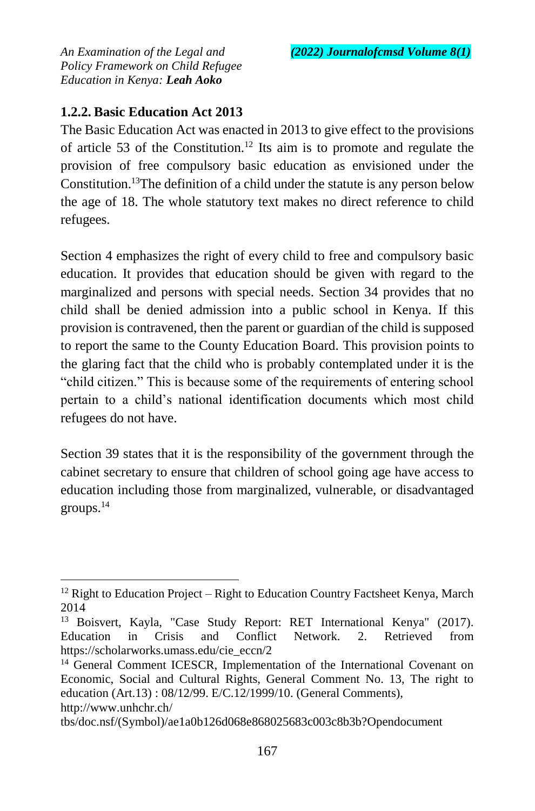## **1.2.2. Basic Education Act 2013**

The Basic Education Act was enacted in 2013 to give effect to the provisions of article 53 of the Constitution.<sup>12</sup> Its aim is to promote and regulate the provision of free compulsory basic education as envisioned under the Constitution.<sup>13</sup>The definition of a child under the statute is any person below the age of 18. The whole statutory text makes no direct reference to child refugees.

Section 4 emphasizes the right of every child to free and compulsory basic education. It provides that education should be given with regard to the marginalized and persons with special needs. Section 34 provides that no child shall be denied admission into a public school in Kenya. If this provision is contravened, then the parent or guardian of the child is supposed to report the same to the County Education Board. This provision points to the glaring fact that the child who is probably contemplated under it is the "child citizen." This is because some of the requirements of entering school pertain to a child's national identification documents which most child refugees do not have.

Section 39 states that it is the responsibility of the government through the cabinet secretary to ensure that children of school going age have access to education including those from marginalized, vulnerable, or disadvantaged groups. $14$ 

 $\ddot{\phantom{a}}$  $12$  Right to Education Project – Right to Education Country Factsheet Kenya, March 2014

<sup>13</sup> Boisvert, Kayla, "Case Study Report: RET International Kenya" (2017). Education in Crisis and Conflict Network. 2. Retrieved from https://scholarworks.umass.edu/cie\_eccn/2

<sup>&</sup>lt;sup>14</sup> General Comment ICESCR, Implementation of the International Covenant on Economic, Social and Cultural Rights, General Comment No. 13, The right to education (Art.13) : 08/12/99. E/C.12/1999/10. (General Comments), http://www.unhchr.ch/

tbs/doc.nsf/(Symbol)/ae1a0b126d068e868025683c003c8b3b?Opendocument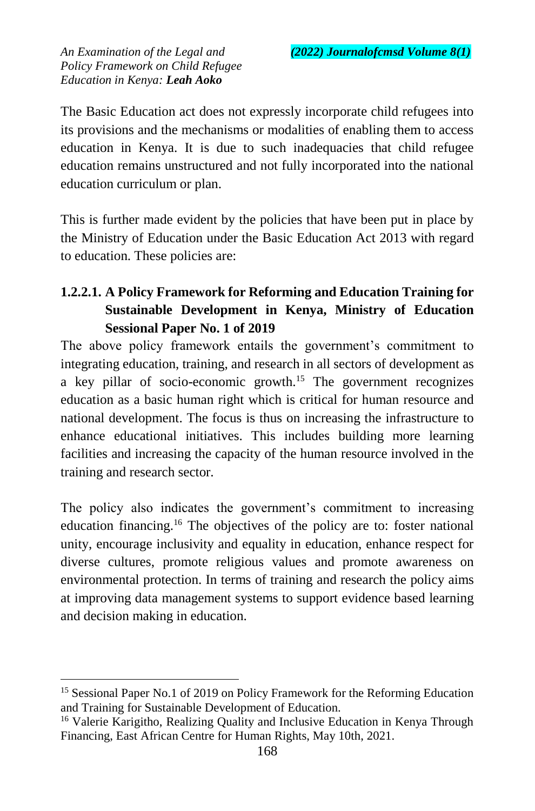The Basic Education act does not expressly incorporate child refugees into its provisions and the mechanisms or modalities of enabling them to access education in Kenya. It is due to such inadequacies that child refugee education remains unstructured and not fully incorporated into the national education curriculum or plan.

This is further made evident by the policies that have been put in place by the Ministry of Education under the Basic Education Act 2013 with regard to education. These policies are:

# **1.2.2.1. A Policy Framework for Reforming and Education Training for Sustainable Development in Kenya, Ministry of Education Sessional Paper No. 1 of 2019**

The above policy framework entails the government's commitment to integrating education, training, and research in all sectors of development as a key pillar of socio-economic growth.<sup>15</sup> The government recognizes education as a basic human right which is critical for human resource and national development. The focus is thus on increasing the infrastructure to enhance educational initiatives. This includes building more learning facilities and increasing the capacity of the human resource involved in the training and research sector.

The policy also indicates the government's commitment to increasing education financing.<sup>16</sup> The objectives of the policy are to: foster national unity, encourage inclusivity and equality in education, enhance respect for diverse cultures, promote religious values and promote awareness on environmental protection. In terms of training and research the policy aims at improving data management systems to support evidence based learning and decision making in education.

 $\ddot{\phantom{a}}$ 

<sup>&</sup>lt;sup>15</sup> Sessional Paper No.1 of 2019 on Policy Framework for the Reforming Education and Training for Sustainable Development of Education.

<sup>&</sup>lt;sup>16</sup> Valerie Karigitho, Realizing Quality and Inclusive Education in Kenya Through Financing, East African Centre for Human Rights, May 10th, 2021.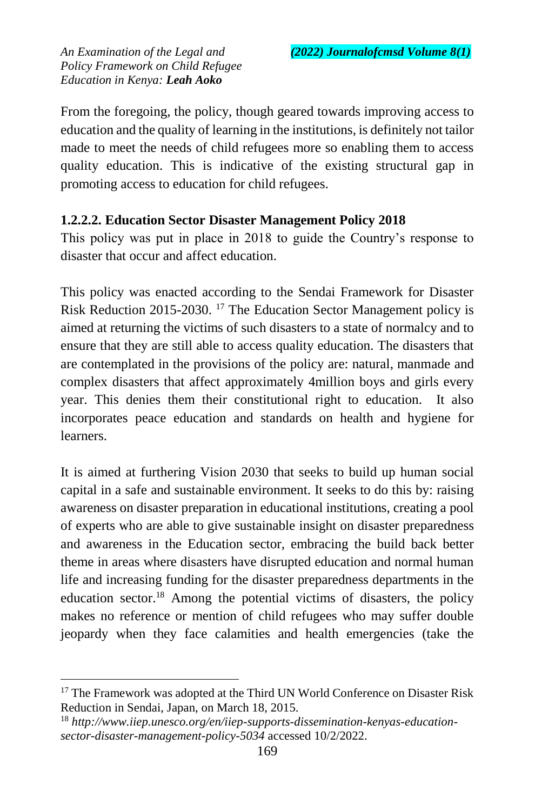From the foregoing, the policy, though geared towards improving access to education and the quality of learning in the institutions, is definitely not tailor made to meet the needs of child refugees more so enabling them to access quality education. This is indicative of the existing structural gap in promoting access to education for child refugees.

### **1.2.2.2. Education Sector Disaster Management Policy 2018**

This policy was put in place in 2018 to guide the Country's response to disaster that occur and affect education.

This policy was enacted according to the Sendai Framework for Disaster Risk Reduction 2015-2030. <sup>17</sup> The Education Sector Management policy is aimed at returning the victims of such disasters to a state of normalcy and to ensure that they are still able to access quality education. The disasters that are contemplated in the provisions of the policy are: natural, manmade and complex disasters that affect approximately 4million boys and girls every year. This denies them their constitutional right to education. It also incorporates peace education and standards on health and hygiene for learners.

It is aimed at furthering Vision 2030 that seeks to build up human social capital in a safe and sustainable environment. It seeks to do this by: raising awareness on disaster preparation in educational institutions, creating a pool of experts who are able to give sustainable insight on disaster preparedness and awareness in the Education sector, embracing the build back better theme in areas where disasters have disrupted education and normal human life and increasing funding for the disaster preparedness departments in the education sector.<sup>18</sup> Among the potential victims of disasters, the policy makes no reference or mention of child refugees who may suffer double jeopardy when they face calamities and health emergencies (take the

 $\ddot{\phantom{a}}$ 

<sup>&</sup>lt;sup>17</sup> The Framework was adopted at the Third UN World Conference on Disaster Risk Reduction in Sendai, Japan, on March 18, 2015.

<sup>18</sup> *http://www.iiep.unesco.org/en/iiep-supports-dissemination-kenyas-educationsector-disaster-management-policy-5034* accessed 10/2/2022.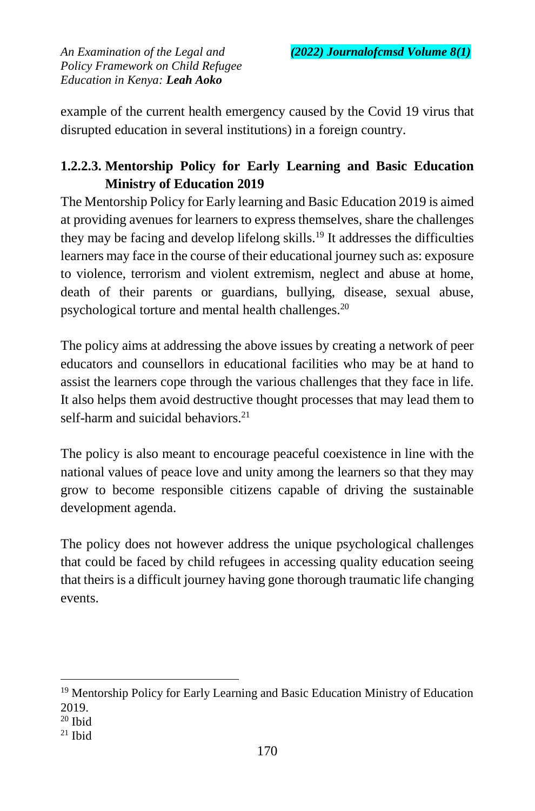example of the current health emergency caused by the Covid 19 virus that disrupted education in several institutions) in a foreign country.

# **1.2.2.3. Mentorship Policy for Early Learning and Basic Education Ministry of Education 2019**

The Mentorship Policy for Early learning and Basic Education 2019 is aimed at providing avenues for learners to express themselves, share the challenges they may be facing and develop lifelong skills.<sup>19</sup> It addresses the difficulties learners may face in the course of their educational journey such as: exposure to violence, terrorism and violent extremism, neglect and abuse at home, death of their parents or guardians, bullying, disease, sexual abuse, psychological torture and mental health challenges.<sup>20</sup>

The policy aims at addressing the above issues by creating a network of peer educators and counsellors in educational facilities who may be at hand to assist the learners cope through the various challenges that they face in life. It also helps them avoid destructive thought processes that may lead them to self-harm and suicidal behaviors. $21$ 

The policy is also meant to encourage peaceful coexistence in line with the national values of peace love and unity among the learners so that they may grow to become responsible citizens capable of driving the sustainable development agenda.

The policy does not however address the unique psychological challenges that could be faced by child refugees in accessing quality education seeing that theirs is a difficult journey having gone thorough traumatic life changing events.

 $\ddot{\phantom{a}}$ <sup>19</sup> Mentorship Policy for Early Learning and Basic Education Ministry of Education 2019.

<sup>20</sup> Ibid

 $21$  Ibid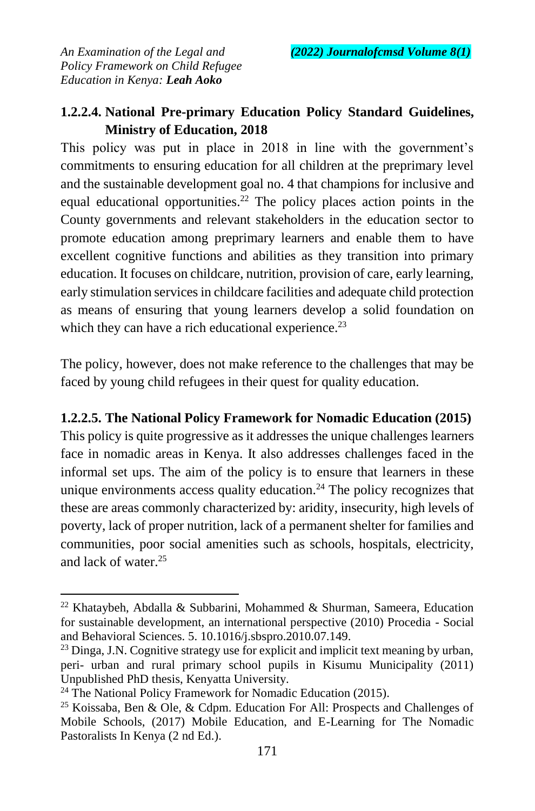## **1.2.2.4. National Pre-primary Education Policy Standard Guidelines, Ministry of Education, 2018**

This policy was put in place in 2018 in line with the government's commitments to ensuring education for all children at the preprimary level and the sustainable development goal no. 4 that champions for inclusive and equal educational opportunities.<sup>22</sup> The policy places action points in the County governments and relevant stakeholders in the education sector to promote education among preprimary learners and enable them to have excellent cognitive functions and abilities as they transition into primary education. It focuses on childcare, nutrition, provision of care, early learning, early stimulation services in childcare facilities and adequate child protection as means of ensuring that young learners develop a solid foundation on which they can have a rich educational experience.<sup>23</sup>

The policy, however, does not make reference to the challenges that may be faced by young child refugees in their quest for quality education.

#### **1.2.2.5. The National Policy Framework for Nomadic Education (2015)**

This policy is quite progressive as it addresses the unique challenges learners face in nomadic areas in Kenya. It also addresses challenges faced in the informal set ups. The aim of the policy is to ensure that learners in these unique environments access quality education.<sup>24</sup> The policy recognizes that these are areas commonly characterized by: aridity, insecurity, high levels of poverty, lack of proper nutrition, lack of a permanent shelter for families and communities, poor social amenities such as schools, hospitals, electricity, and lack of water. $25$ 

 $\overline{a}$ 

<sup>&</sup>lt;sup>22</sup> Khataybeh, Abdalla & Subbarini, Mohammed & Shurman, Sameera, Education for sustainable development, an international perspective (2010) Procedia - Social and Behavioral Sciences. 5. 10.1016/j.sbspro.2010.07.149.

 $^{23}$  Dinga, J.N. Cognitive strategy use for explicit and implicit text meaning by urban, peri- urban and rural primary school pupils in Kisumu Municipality (2011) Unpublished PhD thesis, Kenyatta University.

<sup>&</sup>lt;sup>24</sup> The National Policy Framework for Nomadic Education (2015).

<sup>&</sup>lt;sup>25</sup> Koissaba, Ben & Ole, & Cdpm. Education For All: Prospects and Challenges of Mobile Schools, (2017) Mobile Education, and E-Learning for The Nomadic Pastoralists In Kenya (2 nd Ed.).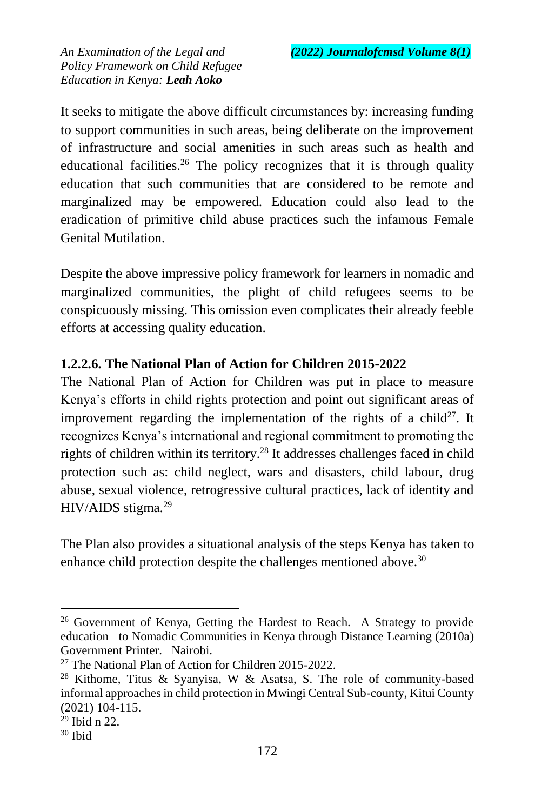It seeks to mitigate the above difficult circumstances by: increasing funding to support communities in such areas, being deliberate on the improvement of infrastructure and social amenities in such areas such as health and educational facilities.<sup>26</sup> The policy recognizes that it is through quality education that such communities that are considered to be remote and marginalized may be empowered. Education could also lead to the eradication of primitive child abuse practices such the infamous Female Genital Mutilation.

Despite the above impressive policy framework for learners in nomadic and marginalized communities, the plight of child refugees seems to be conspicuously missing. This omission even complicates their already feeble efforts at accessing quality education.

## **1.2.2.6. The National Plan of Action for Children 2015-2022**

The National Plan of Action for Children was put in place to measure Kenya's efforts in child rights protection and point out significant areas of improvement regarding the implementation of the rights of a child<sup>27</sup>. It recognizes Kenya's international and regional commitment to promoting the rights of children within its territory.<sup>28</sup> It addresses challenges faced in child protection such as: child neglect, wars and disasters, child labour, drug abuse, sexual violence, retrogressive cultural practices, lack of identity and  $HIV/AIDS$  stigma.<sup>29</sup>

The Plan also provides a situational analysis of the steps Kenya has taken to enhance child protection despite the challenges mentioned above.<sup>30</sup>

 $\ddot{\phantom{a}}$ 

 $26$  Government of Kenya, Getting the Hardest to Reach. A Strategy to provide education to Nomadic Communities in Kenya through Distance Learning (2010a) Government Printer. Nairobi.

<sup>27</sup> The National Plan of Action for Children 2015-2022.

<sup>&</sup>lt;sup>28</sup> Kithome, Titus & Syanyisa, W & Asatsa, S. The role of community-based informal approaches in child protection in Mwingi Central Sub-county, Kitui County (2021) 104-115.

<sup>29</sup> Ibid n 22.

<sup>30</sup> Ibid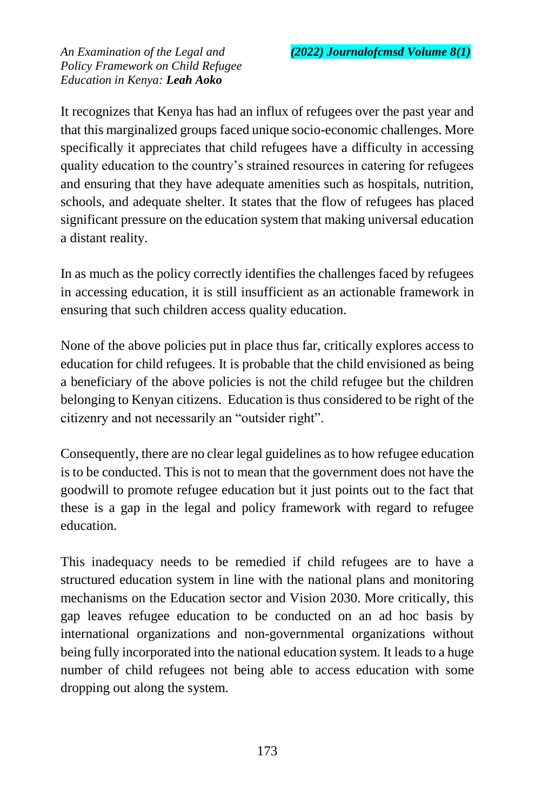It recognizes that Kenya has had an influx of refugees over the past year and that this marginalized groups faced unique socio-economic challenges. More specifically it appreciates that child refugees have a difficulty in accessing quality education to the country's strained resources in catering for refugees and ensuring that they have adequate amenities such as hospitals, nutrition, schools, and adequate shelter. It states that the flow of refugees has placed significant pressure on the education system that making universal education a distant reality.

In as much as the policy correctly identifies the challenges faced by refugees in accessing education, it is still insufficient as an actionable framework in ensuring that such children access quality education.

None of the above policies put in place thus far, critically explores access to education for child refugees. It is probable that the child envisioned as being a beneficiary of the above policies is not the child refugee but the children belonging to Kenyan citizens. Education is thus considered to be right of the citizenry and not necessarily an "outsider right".

Consequently, there are no clear legal guidelines as to how refugee education is to be conducted. This is not to mean that the government does not have the goodwill to promote refugee education but it just points out to the fact that these is a gap in the legal and policy framework with regard to refugee education.

This inadequacy needs to be remedied if child refugees are to have a structured education system in line with the national plans and monitoring mechanisms on the Education sector and Vision 2030. More critically, this gap leaves refugee education to be conducted on an ad hoc basis by international organizations and non-governmental organizations without being fully incorporated into the national education system. It leads to a huge number of child refugees not being able to access education with some dropping out along the system.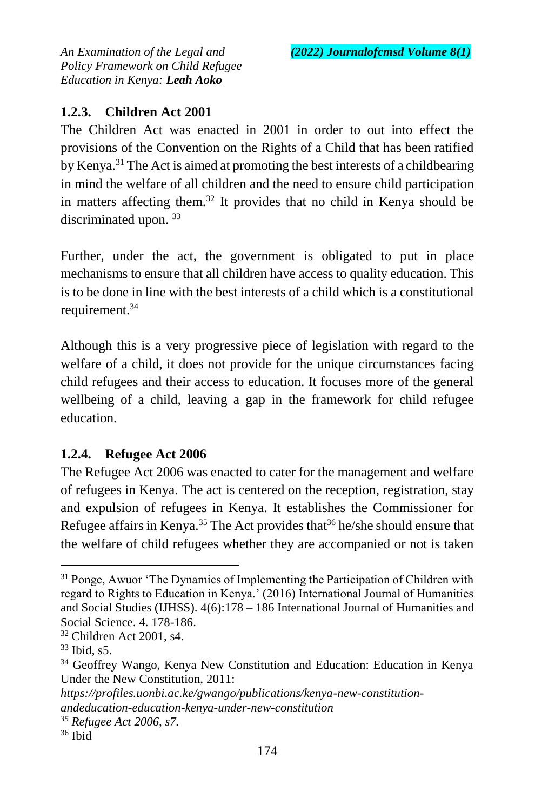## **1.2.3. Children Act 2001**

The Children Act was enacted in 2001 in order to out into effect the provisions of the Convention on the Rights of a Child that has been ratified by Kenya.<sup>31</sup> The Act is aimed at promoting the best interests of a childbearing in mind the welfare of all children and the need to ensure child participation in matters affecting them.<sup>32</sup> It provides that no child in Kenya should be discriminated upon.<sup>33</sup>

Further, under the act, the government is obligated to put in place mechanisms to ensure that all children have access to quality education. This is to be done in line with the best interests of a child which is a constitutional requirement.<sup>34</sup>

Although this is a very progressive piece of legislation with regard to the welfare of a child, it does not provide for the unique circumstances facing child refugees and their access to education. It focuses more of the general wellbeing of a child, leaving a gap in the framework for child refugee education.

## **1.2.4. Refugee Act 2006**

The Refugee Act 2006 was enacted to cater for the management and welfare of refugees in Kenya. The act is centered on the reception, registration, stay and expulsion of refugees in Kenya. It establishes the Commissioner for Refugee affairs in Kenya.<sup>35</sup> The Act provides that  $36$  he/she should ensure that the welfare of child refugees whether they are accompanied or not is taken

1

<sup>&</sup>lt;sup>31</sup> Ponge, Awuor 'The Dynamics of Implementing the Participation of Children with regard to Rights to Education in Kenya.' (2016) International Journal of Humanities and Social Studies (IJHSS). 4(6):178 – 186 International Journal of Humanities and Social Science. 4. 178-186.

<sup>32</sup> Children Act 2001, s4.

<sup>33</sup> Ibid, s5.

<sup>34</sup> Geoffrey Wango, Kenya New Constitution and Education: Education in Kenya Under the New Constitution, 2011:

*https://profiles.uonbi.ac.ke/gwango/publications/kenya-new-constitutionandeducation-education-kenya-under-new-constitution* 

*<sup>35</sup> Refugee Act 2006, s7.*

<sup>36</sup> Ibid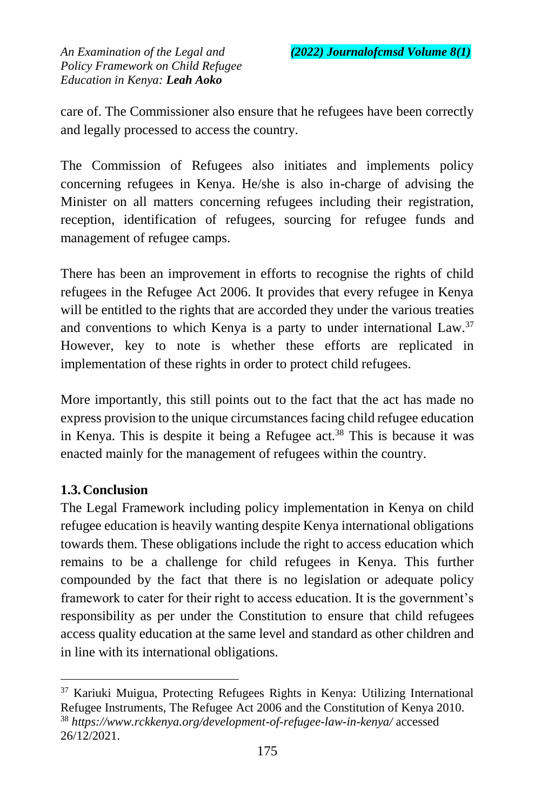care of. The Commissioner also ensure that he refugees have been correctly and legally processed to access the country.

The Commission of Refugees also initiates and implements policy concerning refugees in Kenya. He/she is also in-charge of advising the Minister on all matters concerning refugees including their registration, reception, identification of refugees, sourcing for refugee funds and management of refugee camps.

There has been an improvement in efforts to recognise the rights of child refugees in the Refugee Act 2006. It provides that every refugee in Kenya will be entitled to the rights that are accorded they under the various treaties and conventions to which Kenya is a party to under international Law.<sup>37</sup> However, key to note is whether these efforts are replicated in implementation of these rights in order to protect child refugees.

More importantly, this still points out to the fact that the act has made no express provision to the unique circumstances facing child refugee education in Kenya. This is despite it being a Refugee  $act.^{38}$  This is because it was enacted mainly for the management of refugees within the country.

### **1.3.Conclusion**

 $\ddot{\phantom{a}}$ 

The Legal Framework including policy implementation in Kenya on child refugee education is heavily wanting despite Kenya international obligations towards them. These obligations include the right to access education which remains to be a challenge for child refugees in Kenya. This further compounded by the fact that there is no legislation or adequate policy framework to cater for their right to access education. It is the government's responsibility as per under the Constitution to ensure that child refugees access quality education at the same level and standard as other children and in line with its international obligations.

<sup>37</sup> Kariuki Muigua, Protecting Refugees Rights in Kenya: Utilizing International Refugee Instruments, The Refugee Act 2006 and the Constitution of Kenya 2010. <sup>38</sup> *https://www.rckkenya.org/development-of-refugee-law-in-kenya/* accessed 26/12/2021.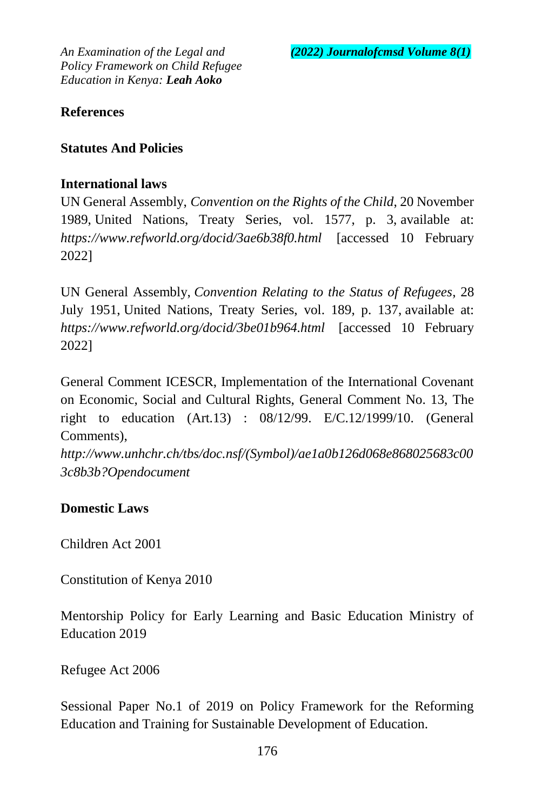#### **References**

### **Statutes And Policies**

#### **International laws**

UN General Assembly, *Convention on the Rights of the Child*, 20 November 1989, United Nations, Treaty Series, vol. 1577, p. 3, available at: *https://www.refworld.org/docid/3ae6b38f0.html* [accessed 10 February 2022]

UN General Assembly, *Convention Relating to the Status of Refugees*, 28 July 1951, United Nations, Treaty Series, vol. 189, p. 137, available at: *<https://www.refworld.org/docid/3be01b964.html>* [accessed 10 February 2022]

General Comment ICESCR, Implementation of the International Covenant on Economic, Social and Cultural Rights, General Comment No. 13, The right to education (Art.13) : 08/12/99. E/C.12/1999/10. (General Comments),

*http://www.unhchr.ch/tbs/doc.nsf/(Symbol)/ae1a0b126d068e868025683c00 3c8b3b?Opendocument*

### **Domestic Laws**

Children Act 2001

Constitution of Kenya 2010

Mentorship Policy for Early Learning and Basic Education Ministry of Education 2019

Refugee Act 2006

Sessional Paper No.1 of 2019 on Policy Framework for the Reforming Education and Training for Sustainable Development of Education.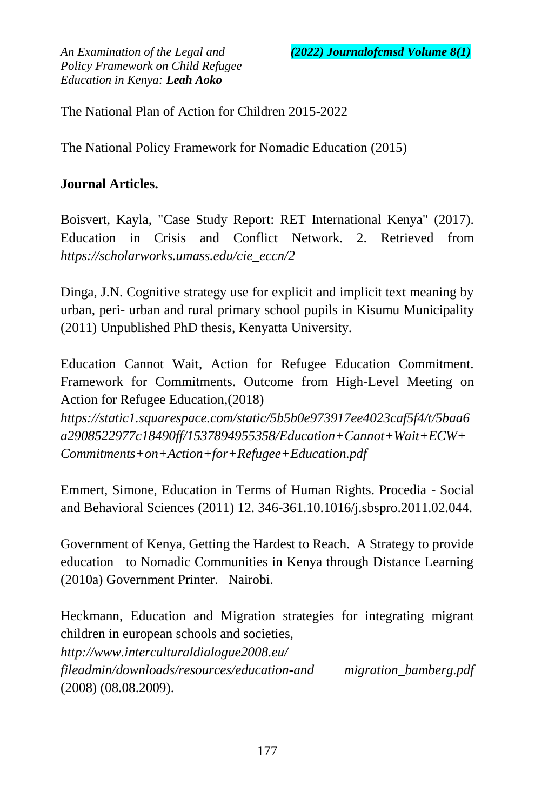The National Plan of Action for Children 2015-2022

The National Policy Framework for Nomadic Education (2015)

## **Journal Articles.**

Boisvert, Kayla, "Case Study Report: RET International Kenya" (2017). Education in Crisis and Conflict Network. 2. Retrieved from *[https://scholarworks.umass.edu/cie\\_eccn/2](https://scholarworks.umass.edu/cie_eccn/2)*

Dinga, J.N. Cognitive strategy use for explicit and implicit text meaning by urban, peri- urban and rural primary school pupils in Kisumu Municipality (2011) Unpublished PhD thesis, Kenyatta University.

Education Cannot Wait, Action for Refugee Education Commitment. Framework for Commitments. Outcome from High-Level Meeting on Action for Refugee Education,(2018)

*https://static1.squarespace.com/static/5b5b0e973917ee4023caf5f4/t/5baa6 a2908522977c18490ff/1537894955358/Education+Cannot+Wait+ECW+ Commitments+on+Action+for+Refugee+Education.pdf*

Emmert, Simone, Education in Terms of Human Rights. Procedia - Social and Behavioral Sciences (2011) 12. 346-361.10.1016/j.sbspro.2011.02.044.

Government of Kenya, Getting the Hardest to Reach. A Strategy to provide education to Nomadic Communities in Kenya through Distance Learning (2010a) Government Printer. Nairobi.

Heckmann, Education and Migration strategies for integrating migrant children in european schools and societies, *http://www.interculturaldialogue2008.eu/ fileadmin/downloads/resources/education-and migration\_bamberg.pdf* (2008) (08.08.2009).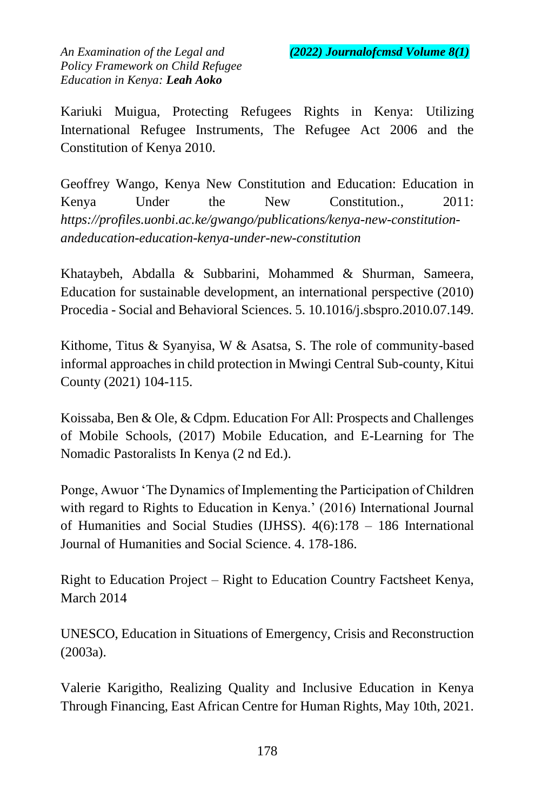Kariuki Muigua, Protecting Refugees Rights in Kenya: Utilizing International Refugee Instruments, The Refugee Act 2006 and the Constitution of Kenya 2010.

Geoffrey Wango, Kenya New Constitution and Education: Education in Kenya Under the New Constitution., 2011: *https://profiles.uonbi.ac.ke/gwango/publications/kenya-new-constitutionandeducation-education-kenya-under-new-constitution*

Khataybeh, Abdalla & Subbarini, Mohammed & Shurman, Sameera, Education for sustainable development, an international perspective (2010) Procedia - Social and Behavioral Sciences. 5. 10.1016/j.sbspro.2010.07.149.

Kithome, Titus & Syanyisa, W & Asatsa, S. The role of community-based informal approaches in child protection in Mwingi Central Sub-county, Kitui County (2021) 104-115.

Koissaba, Ben & Ole, & Cdpm. Education For All: Prospects and Challenges of Mobile Schools, (2017) Mobile Education, and E-Learning for The Nomadic Pastoralists In Kenya (2 nd Ed.).

Ponge, Awuor 'The Dynamics of Implementing the Participation of Children with regard to Rights to Education in Kenya.' (2016) International Journal of Humanities and Social Studies (IJHSS). 4(6):178 – 186 International Journal of Humanities and Social Science. 4. 178-186.

Right to Education Project – Right to Education Country Factsheet Kenya, March 2014

UNESCO, Education in Situations of Emergency, Crisis and Reconstruction (2003a).

Valerie Karigitho, Realizing Quality and Inclusive Education in Kenya Through Financing, East African Centre for Human Rights, May 10th, 2021.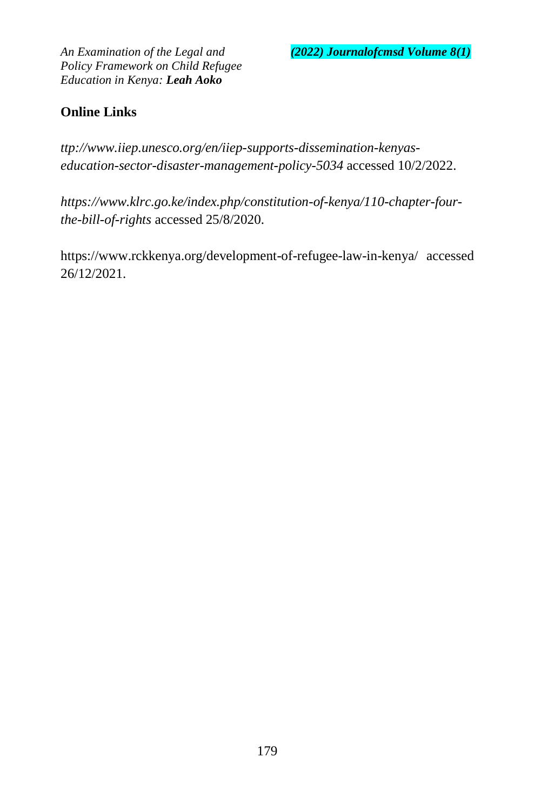*An Examination of the Legal and (2022) Journalofcmsd Volume 8(1)*

*Policy Framework on Child Refugee Education in Kenya: Leah Aoko*

# **Online Links**

*ttp://www.iiep.unesco.org/en/iiep-supports-dissemination-kenyaseducation-sector-disaster-management-policy-5034* accessed 10/2/2022.

*https://www.klrc.go.ke/index.php/constitution-of-kenya/110-chapter-fourthe-bill-of-rights* accessed 25/8/2020.

https://www.rckkenya.org/development-of-refugee-law-in-kenya/ accessed 26/12/2021.